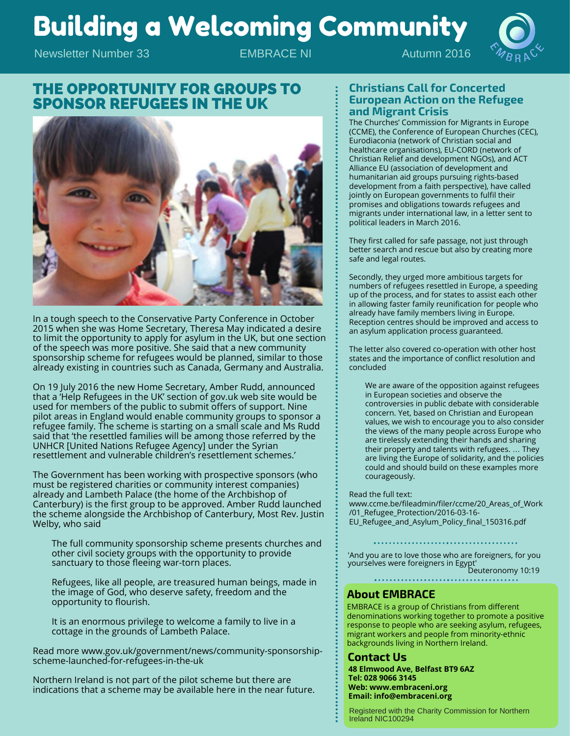# Building a Welcoming Community

Newsletter Number 33 **EMBRACE NI** Autumn 2016



# THE OPPORTUNITY FOR GROUPS TO SPONSOR REFUGEES IN THE UK



In a tough speech to the Conservative Party Conference in October 2015 when she was Home Secretary, Theresa May indicated a desire to limit the opportunity to apply for asylum in the UK, but one section of the speech was more positive. She said that a new community sponsorship scheme for refugees would be planned, similar to those already existing in countries such as Canada, Germany and Australia.

On 19 July 2016 the new Home Secretary, Amber Rudd, announced that a 'Help Refugees in the UK' section of gov.uk web site would be used for members of the public to submit offers of support. Nine pilot areas in England would enable community groups to sponsor a refugee family. The scheme is starting on a small scale and Ms Rudd said that 'the resettled families will be among those referred by the UNHCR [United Nations Refugee Agency] under the Syrian resettlement and vulnerable children's resettlement schemes.'

The Government has been working with prospective sponsors (who must be registered charities or community interest companies) already and Lambeth Palace (the home of the Archbishop of Canterbury) is the first group to be approved. Amber Rudd launched the scheme alongside the Archbishop of Canterbury, Most Rev. Justin Welby, who said

The full community sponsorship scheme presents churches and other civil society groups with the opportunity to provide sanctuary to those fleeing war-torn places.

Refugees, like all people, are treasured human beings, made in the image of God, who deserve safety, freedom and the opportunity to flourish.

It is an enormous privilege to welcome a family to live in a cottage in the grounds of Lambeth Palace.

Read more [www.gov.uk/government/news/community-sponsorship](http://www.gov.uk/government/news/community-sponsorship-scheme-launched-for-refugees-in-the-uk)scheme-launched-for-refugees-in-the-uk

Northern Ireland is not part of the pilot scheme but there are indications that a scheme may be available here in the near future.

## **Christians Call for Concerted European Action on the Refugee and Migrant Crisis**

The Churches' Commission for Migrants in Europe (CCME), the Conference of European Churches (CEC), Eurodiaconia (network of Christian social and healthcare organisations), EU-CORD (network of Christian Relief and development NGOs), and ACT Alliance EU (association of development and humanitarian aid groups pursuing rights-based development from a faith perspective), have called jointly on European governments to fulfil their promises and obligations towards refugees and migrants under international law, in a letter sent to political leaders in March 2016.

They first called for safe passage, not just through better search and rescue but also by creating more safe and legal routes.

Secondly, they urged more ambitious targets for numbers of refugees resettled in Europe, a speeding up of the process, and for states to assist each other in allowing faster family reunification for people who already have family members living in Europe. Reception centres should be improved and access to an asylum application process guaranteed.

The letter also covered co-operation with other host states and the importance of conflict resolution and concluded

We are aware of the opposition against refugees in European societies and observe the controversies in public debate with considerable concern. Yet, based on Christian and European values, we wish to encourage you to also consider the views of the many people across Europe who are tirelessly extending their hands and sharing their property and talents with refugees. … They are living the Europe of solidarity, and the policies could and should build on these examples more courageously.

Read the full text:

.....................................................................................................................................................................

www.ccme.be/fileadmin/filer/ccme/20\_Areas\_of\_Work /01 Refugee Protection/2016-03-16-EU\_Refugee\_and\_Asylum\_Policy\_final\_150316.pdf

'And you are to love those who are foreigners, for you yourselves were foreigners in Egypt'

Deuteronomy 10:19

# **About EMBRACE**

. . . . . . . . . . . . .

EMBRACE is a group of Christians from different denominations working together to promote a positive response to people who are seeking asylum, refugees, migrant workers and people from minority-ethnic backgrounds living in Northern Ireland.

### **Contact Us**

**48 Elmwood Ave, Belfast BT9 6AZ Tel: 028 9066 3145 Web: www.embraceni.org Email: info@embraceni.org**

Registered with the Charity Commission for Northern Ireland NIC100294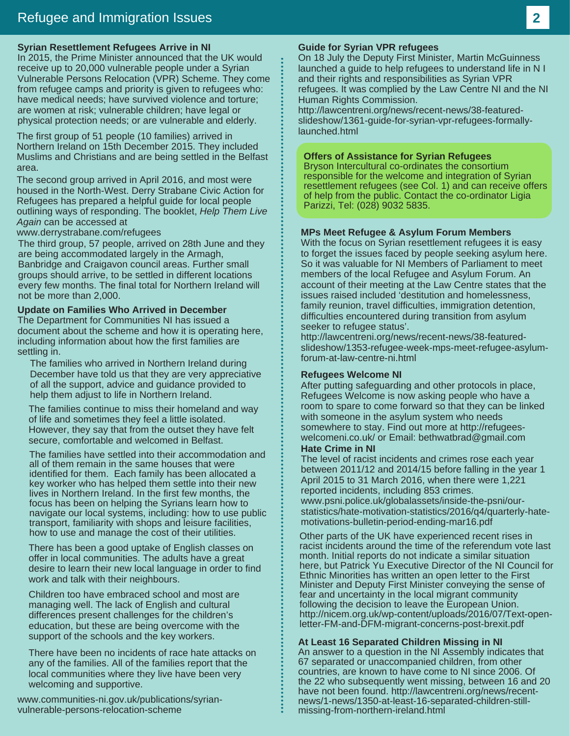### **Syrian Resettlement Refugees Arrive in NI**

In 2015, the Prime Minister announced that the UK would receive up to 20,000 vulnerable people under a Syrian Vulnerable Persons Relocation (VPR) Scheme. They come from refugee camps and priority is given to refugees who: have medical needs; have survived violence and torture; are women at risk; vulnerable children; have legal or physical protection needs; or are vulnerable and elderly.

The first group of 51 people (10 families) arrived in Northern Ireland on 15th December 2015. They included Muslims and Christians and are being settled in the Belfast area.

The second group arrived in April 2016, and most were housed in the North-West. Derry Strabane Civic Action for Refugees has prepared a helpful guide for local people outlining ways of responding. The booklet, *Help Them Live Again* can be accessed at

[www.derrystrabane.com/refugees](http://www.derrystrabane.com/refugees)

The third group, 57 people, arrived on 28th June and they are being accommodated largely in the Armagh, Banbridge and Craigavon council areas. Further small groups should arrive, to be settled in different locations every few months. The final total for Northern Ireland will not be more than 2,000.

**Update on Families Who Arrived in December**

The Department for Communities NI has issued a document about the scheme and how it is operating here, including information about how the first families are settling in.

The families who arrived in Northern Ireland during December have told us that they are very appreciative of all the support, advice and guidance provided to help them adjust to life in Northern Ireland.

The families continue to miss their homeland and way of life and sometimes they feel a little isolated. However, they say that from the outset they have felt secure, comfortable and welcomed in Belfast.

The families have settled into their accommodation and all of them remain in the same houses that were identified for them. Each family has been allocated a key worker who has helped them settle into their new lives in Northern Ireland. In the first few months, the focus has been on helping the Syrians learn how to navigate our local systems, including: how to use public transport, familiarity with shops and leisure facilities, how to use and manage the cost of their utilities.

There has been a good uptake of English classes on offer in local communities. The adults have a great desire to learn their new local language in order to find work and talk with their neighbours.

Children too have embraced school and most are managing well. The lack of English and cultural differences present challenges for the children's education, but these are being overcome with the support of the schools and the key workers.

There have been no incidents of race hate attacks on any of the families. All of the families report that the local communities where they live have been very welcoming and supportive.

www.communities-ni.gov.uk/publications/syrianvulnerable-persons-relocation-scheme

### **Guide for Syrian VPR refugees**

On 18 July the Deputy First Minister, Martin McGuinness launched a guide to help refugees to understand life in N I and their rights and responsibilities as Syrian VPR refugees. It was complied by the Law Centre NI and the NI Human Rights Commission.

http://lawcentreni.org/news/recent-news/38-featuredslideshow/1361-guide-for-syrian-vpr-refugees-formallylaunched.html

### **Offers of Assistance for Syrian Refugees**

Bryson Intercultural co-ordinates the consortium responsible for the welcome and integration of Syrian resettlement refugees (see Col. 1) and can receive offers of help from the public. Contact the co-ordinator Ligia Parizzi, Tel: (028) 9032 5835.

### **MPs Meet Refugee & Asylum Forum Members**

With the focus on Syrian resettlement refugees it is easy to forget the issues faced by people seeking asylum here. So it was valuable for NI Members of Parliament to meet members of the local Refugee and Asylum Forum. An account of their meeting at the Law Centre states that the issues raised included 'destitution and homelessness, family reunion, travel difficulties, immigration detention, difficulties encountered during transition from asylum seeker to refugee status'.

http://lawcentreni.org/news/recent-news/38-featuredslideshow/1353-refugee-week-mps-meet-refugee-asylumforum-at-law-centre-ni.html

### **Refugees Welcome NI**

After putting safeguarding and other protocols in place, Refugees Welcome is now asking people who have a room to spare to come forward so that they can be linked with someone in the asylum system who needs somewhere to stay. Find out more at http://refugeeswelcomeni.co.uk/ or Email: [bethwatbrad@gmail.com](http://refugees-welcomeni.co.uk/)

### **Hate Crime in NI**

..........................................................................................................................................................................

The level of racist incidents and crimes rose each year between 2011/12 and 2014/15 before falling in the year 1 April 2015 to 31 March 2016, when there were 1,221 reported incidents, including 853 crimes. www.psni.police.uk/globalassets/inside-the-psni/ourstatistics/hate-motivation-statistics/2016/q4/quarterly-hatemotivations-bulletin-period-ending-mar16.pdf

Other parts of the UK have experienced recent rises in racist incidents around the time of the referendum vote last month. Initial reports do not indicate a similar situation here, but Patrick Yu Executive Director of the NI Council for Ethnic Minorities has written an open letter to the First Minister and Deputy First Minister conveying the sense of fear and uncertainty in the local migrant community following the decision to leave the European Union. http://nicem.org.uk/wp-content/uploads/2016/07/Text-openletter-FM-and-DFM-migrant-concerns-post-brexit.pdf

### **At Least 16 Separated Children Missing in NI**

An answer to a question in the NI Assembly indicates that 67 separated or unaccompanied children, from other countries, are known to have come to NI since 2006. Of the 22 who subsequently went missing, between 16 and 20 have not been found. http://lawcentreni.org/news/recentnews/1-news/1350-at-least-16-separated-children-stillmissing-from-northern-ireland.html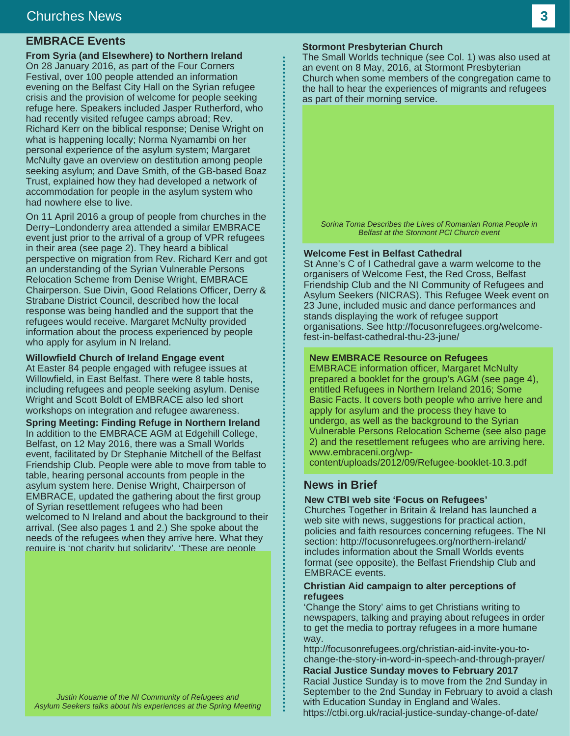# **EMBRACE Events**

**From Syria (and Elsewhere) to Northern Ireland** On 28 January 2016, as part of the Four Corners Festival, over 100 people attended an information evening on the Belfast City Hall on the Syrian refugee crisis and the provision of welcome for people seeking refuge here. Speakers included Jasper Rutherford, who had recently visited refugee camps abroad; Rev. Richard Kerr on the biblical response; Denise Wright on what is happening locally; Norma Nyamambi on her personal experience of the asylum system; Margaret McNulty gave an overview on destitution among people seeking asylum; and Dave Smith, of the GB-based Boaz Trust, explained how they had developed a network of accommodation for people in the asylum system who had nowhere else to live.

On 11 April 2016 a group of people from churches in the Derry~Londonderry area attended a similar EMBRACE event just prior to the arrival of a group of VPR refugees in their area (see page 2). They heard a biblical perspective on migration from Rev. Richard Kerr and got an understanding of the Syrian Vulnerable Persons Relocation Scheme from Denise Wright, EMBRACE Chairperson. Sue Divin, Good Relations Officer, Derry & Strabane District Council, described how the local response was being handled and the support that the refugees would receive. Margaret McNulty provided information about the process experienced by people who apply for asylum in N Ireland.

### **Willowfield Church of Ireland Engage event**

At Easter 84 people engaged with refugee issues at Willowfield, in East Belfast. There were 8 table hosts, including refugees and people seeking asylum. Denise Wright and Scott Boldt of EMBRACE also led short workshops on integration and refugee awareness.

**Spring Meeting: Finding Refuge in Northern Ireland** In addition to the EMBRACE AGM at Edgehill College, Belfast, on 12 May 2016, there was a Small Worlds event, facilitated by Dr Stephanie Mitchell of the Belfast Friendship Club. People were able to move from table to table, hearing personal accounts from people in the asylum system here. Denise Wright, Chairperson of EMBRACE, updated the gathering about the first group of Syrian resettlement refugees who had been welcomed to N Ireland and about the background to their arrival. (See also pages 1 and 2.) She spoke about the needs of the refugees when they arrive here. What they require is 'not charity but solidarity'. 'These are people

# .......................................................................................................................................................................... the hall to hear the experiences of migrants and refugees

as part of their morning service.

The Small Worlds technique (see Col. 1) was also used at an event on 8 May, 2016, at Stormont Presbyterian Church when some members of the congregation came to

*Sorina Toma Describes the Lives of Romanian Roma People in Belfast at the Stormont PCI Church event*

### **Welcome Fest in Belfast Cathedral**

**Stormont Presbyterian Church**

St Anne's C of I Cathedral gave a warm welcome to the organisers of Welcome Fest, the Red Cross, Belfast Friendship Club and the NI Community of Refugees and Asylum Seekers (NICRAS). This Refugee Week event on 23 June, included music and dance performances and stands displaying the work of refugee support organisations. See [http://focusonrefugees.org/welcome](http://focusonrefugees.org/welcome-fest-in-belfast-cathedral-thu-23-june/)fest-in-belfast-cathedral-thu-23-june/

### **New EMBRACE Resource on Refugees**

EMBRACE information officer, Margaret McNulty prepared a booklet for the group's AGM (see page 4), entitled Refugees in Northern Ireland 2016; Some Basic Facts. It covers both people who arrive here and apply for asylum and the process they have to undergo, as well as the background to the Syrian Vulnerable Persons Relocation Scheme (see also page 2) and the resettlement refugees who are arriving here. www.embraceni.org/wp-

content/uploads/2012/09/Refugee-booklet-10.3.pdf

### **News in Brief**

### **New CTBI web site 'Focus on Refugees'**

Churches Together in Britain & Ireland has launched a web site with news, suggestions for practical action, policies and faith resources concerning refugees. The NI section: http://focusonrefugees.org/northern-ireland/ includes information about the Small Worlds events format (see opposite), the Belfast Friendship Club and EMBRACE events.

### **Christian Aid campaign to alter perceptions of refugees**

'Change the Story' aims to get Christians writing to newspapers, talking and praying about refugees in order to get the media to portray refugees in a more humane way.

http://focusonrefugees.org/christian-aid-invite-you-tochange-the-story-in-word-in-speech-and-through-prayer/

**Racial Justice Sunday moves to February 2017** Racial Justice Sunday is to move from the 2nd Sunday in September to the 2nd Sunday in February to avoid a clash with Education Sunday in England and Wales. https://ctbi.org.uk/racial-justice-sunday-change-of-date/